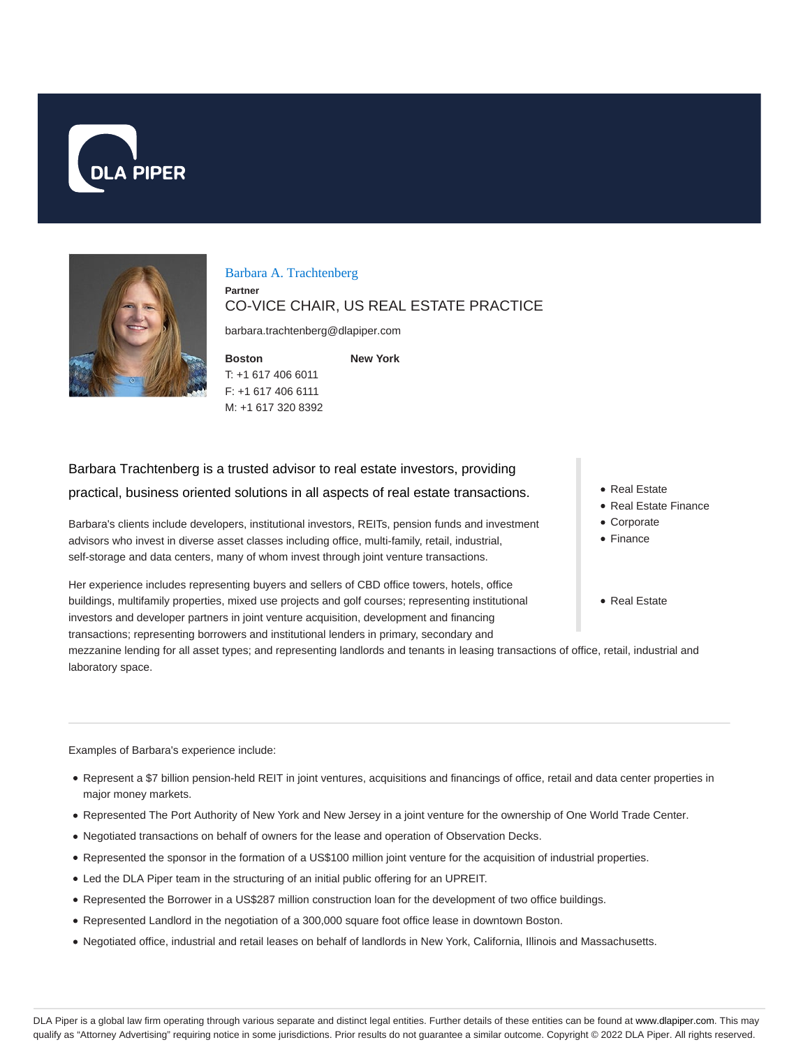



#### Barbara A. Trachtenberg

**Partner** CO-VICE CHAIR, US REAL ESTATE PRACTICE

barbara.trachtenberg@dlapiper.com

**Boston** T: +1 617 406 6011 F: +1 617 406 6111 M: +1 617 320 8392

**New York**

Barbara Trachtenberg is a trusted advisor to real estate investors, providing practical, business oriented solutions in all aspects of real estate transactions.

Barbara's clients include developers, institutional investors, REITs, pension funds and investment advisors who invest in diverse asset classes including office, multi-family, retail, industrial, self-storage and data centers, many of whom invest through joint venture transactions.

Her experience includes representing buyers and sellers of CBD office towers, hotels, office buildings, multifamily properties, mixed use projects and golf courses; representing institutional investors and developer partners in joint venture acquisition, development and financing transactions; representing borrowers and institutional lenders in primary, secondary and mezzanine lending for all asset types; and representing landlords and tenants in leasing transactions of office, retail, industrial and

- Real Estate
- Real Estate Finance
- Corporate
- Finance
- Real Estate

Examples of Barbara's experience include:

laboratory space.

- Represent a \$7 billion pension-held REIT in joint ventures, acquisitions and financings of office, retail and data center properties in major money markets.
- Represented The Port Authority of New York and New Jersey in a joint venture for the ownership of One World Trade Center.
- Negotiated transactions on behalf of owners for the lease and operation of Observation Decks.
- Represented the sponsor in the formation of a US\$100 million joint venture for the acquisition of industrial properties.
- Led the DLA Piper team in the structuring of an initial public offering for an UPREIT.
- Represented the Borrower in a US\$287 million construction loan for the development of two office buildings.
- Represented Landlord in the negotiation of a 300,000 square foot office lease in downtown Boston.
- Negotiated office, industrial and retail leases on behalf of landlords in New York, California, Illinois and Massachusetts.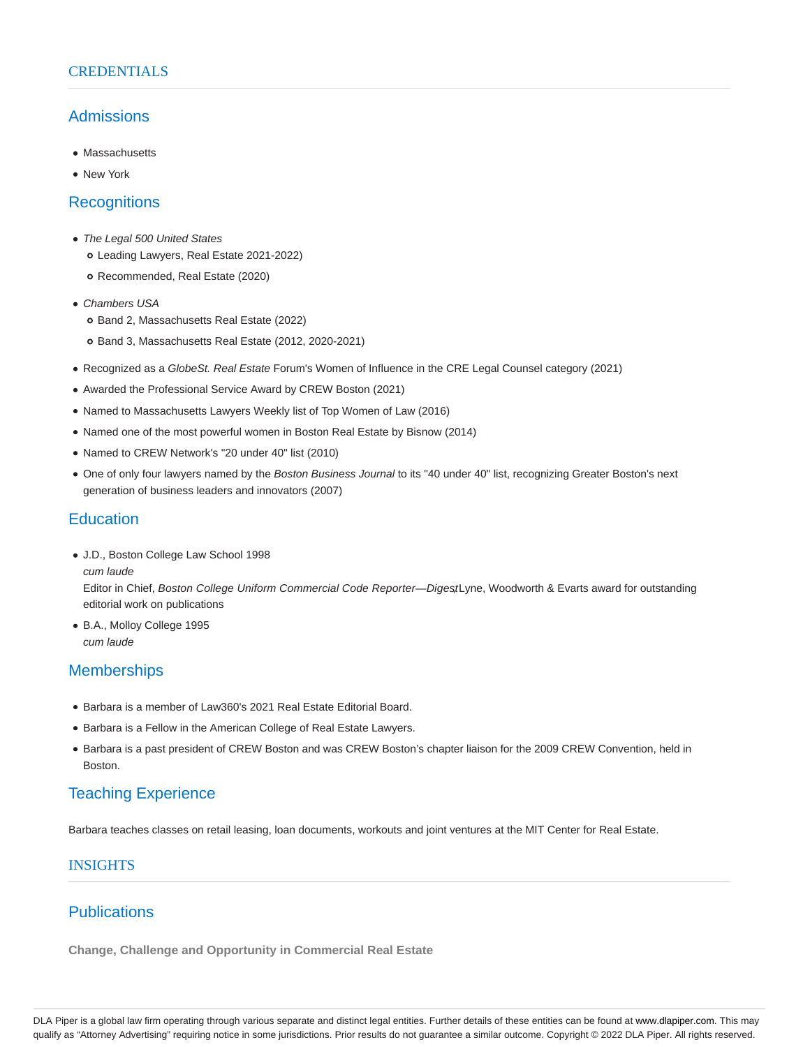# Admissions

- Massachusetts
- New York

## **Recognitions**

- The Legal 500 United States Leading Lawyers, Real Estate 2021-2022)
	- o Recommended, Real Estate (2020)
- Chambers USA o Band 2, Massachusetts Real Estate (2022)
	- o Band 3, Massachusetts Real Estate (2012, 2020-2021)
- Recognized as a GlobeSt. Real Estate Forum's Women of Influence in the CRE Legal Counsel category (2021)
- Awarded the Professional Service Award by CREW Boston (2021)
- Named to Massachusetts Lawyers Weekly list of Top Women of Law (2016)
- Named one of the most powerful women in Boston Real Estate by Bisnow (2014)
- Named to CREW Network's "20 under 40" list (2010)
- One of only four lawyers named by the Boston Business Journal to its "40 under 40" list, recognizing Greater Boston's next generation of business leaders and innovators (2007)

### **Education**

J.D., Boston College Law School 1998 cum laude

Editor in Chief, Boston College Uniform Commercial Code Reporter—DigestLyne, Woodworth & Evarts award for outstanding editorial work on publications

B.A., Molloy College 1995 cum laude

# **Memberships**

- Barbara is a member of Law360's 2021 Real Estate Editorial Board.
- Barbara is a Fellow in the American College of Real Estate Lawyers.
- Barbara is a past president of CREW Boston and was CREW Boston's chapter liaison for the 2009 CREW Convention, held in Boston.

# Teaching Experience

Barbara teaches classes on retail leasing, loan documents, workouts and joint ventures at the MIT Center for Real Estate.

## INSIGHTS

# **Publications**

**Change, Challenge and Opportunity in Commercial Real Estate**